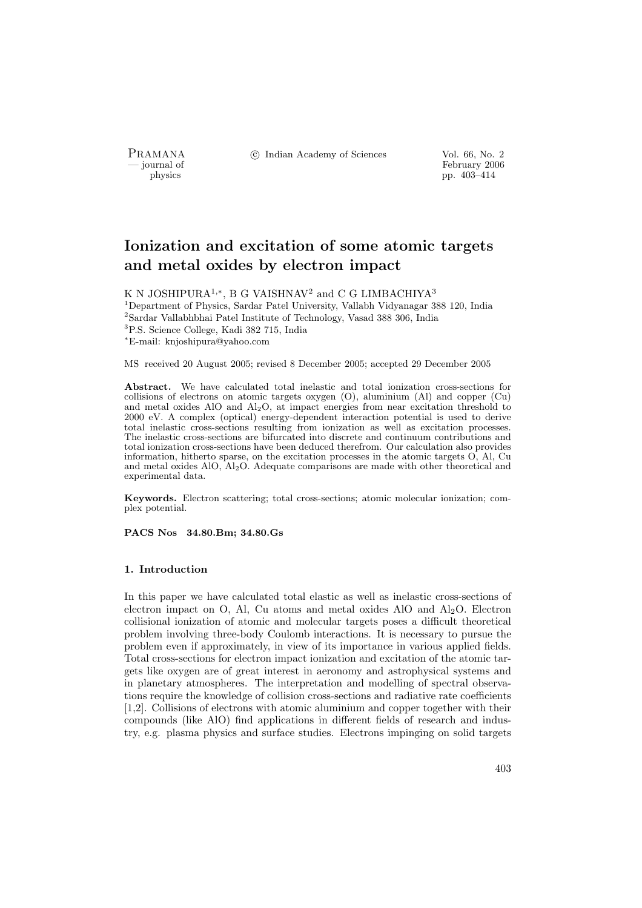PRAMANA °c Indian Academy of Sciences Vol. 66, No. 2

physics<br>
and the settlement of February 2006<br>
pp. 403–414 physics pp. 403–414

# Ionization and excitation of some atomic targets and metal oxides by electron impact

K N JOSHIPURA<sup>1,∗</sup>, B G VAISHNAV<sup>2</sup> and C G LIMBACHIYA<sup>3</sup> <sup>1</sup>Department of Physics, Sardar Patel University, Vallabh Vidyanagar 388 120, India <sup>2</sup>Sardar Vallabhbhai Patel Institute of Technology, Vasad 388 306, India <sup>3</sup>P.S. Science College, Kadi 382 715, India <sup>∗</sup>E-mail: knjoshipura@yahoo.com

MS received 20 August 2005; revised 8 December 2005; accepted 29 December 2005

Abstract. We have calculated total inelastic and total ionization cross-sections for collisions of electrons on atomic targets oxygen (O), aluminium (Al) and copper (Cu) and metal oxides AlO and Al2O, at impact energies from near excitation threshold to 2000 eV. A complex (optical) energy-dependent interaction potential is used to derive total inelastic cross-sections resulting from ionization as well as excitation processes. The inelastic cross-sections are bifurcated into discrete and continuum contributions and total ionization cross-sections have been deduced therefrom. Our calculation also provides information, hitherto sparse, on the excitation processes in the atomic targets O, Al, Cu and metal oxides AlO, Al2O. Adequate comparisons are made with other theoretical and experimental data.

Keywords. Electron scattering; total cross-sections; atomic molecular ionization; complex potential.

PACS Nos 34.80.Bm; 34.80.Gs

### 1. Introduction

In this paper we have calculated total elastic as well as inelastic cross-sections of electron impact on O, Al, Cu atoms and metal oxides AlO and  $Al<sub>2</sub>O$ . Electron collisional ionization of atomic and molecular targets poses a difficult theoretical problem involving three-body Coulomb interactions. It is necessary to pursue the problem even if approximately, in view of its importance in various applied fields. Total cross-sections for electron impact ionization and excitation of the atomic targets like oxygen are of great interest in aeronomy and astrophysical systems and in planetary atmospheres. The interpretation and modelling of spectral observations require the knowledge of collision cross-sections and radiative rate coefficients [1,2]. Collisions of electrons with atomic aluminium and copper together with their compounds (like AlO) find applications in different fields of research and industry, e.g. plasma physics and surface studies. Electrons impinging on solid targets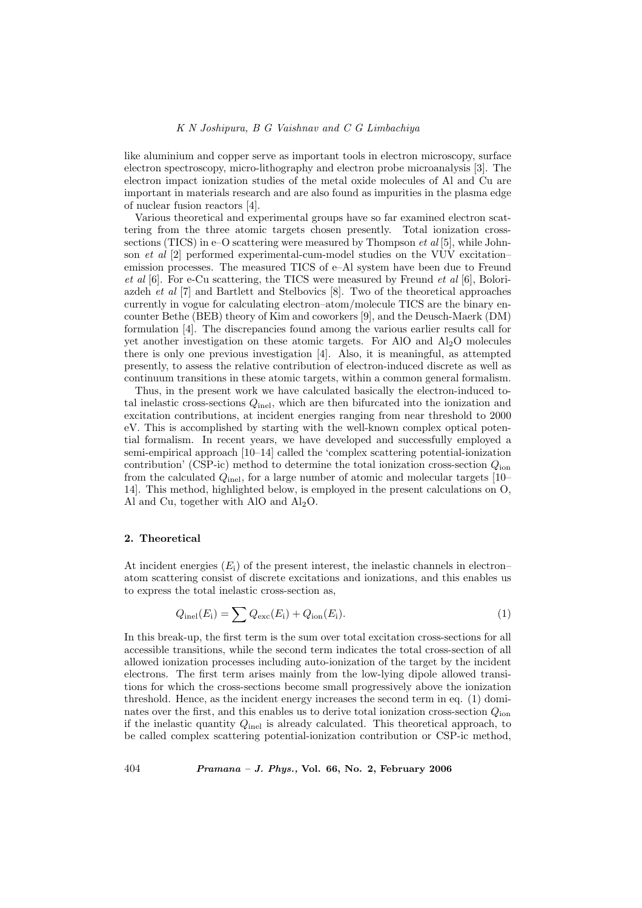like aluminium and copper serve as important tools in electron microscopy, surface electron spectroscopy, micro-lithography and electron probe microanalysis [3]. The electron impact ionization studies of the metal oxide molecules of Al and Cu are important in materials research and are also found as impurities in the plasma edge of nuclear fusion reactors [4].

Various theoretical and experimental groups have so far examined electron scattering from the three atomic targets chosen presently. Total ionization crosssections (TICS) in e–O scattering were measured by Thompson  $et al [5]$ , while Johnson et al [2] performed experimental-cum-model studies on the VUV excitation– emission processes. The measured TICS of e–Al system have been due to Freund et al  $[6]$ . For e-Cu scattering, the TICS were measured by Freund et al  $[6]$ , Boloriazdeh et al [7] and Bartlett and Stelbovics [8]. Two of the theoretical approaches currently in vogue for calculating electron–atom/molecule TICS are the binary encounter Bethe (BEB) theory of Kim and coworkers [9], and the Deusch-Maerk (DM) formulation [4]. The discrepancies found among the various earlier results call for yet another investigation on these atomic targets. For AlO and Al2O molecules there is only one previous investigation [4]. Also, it is meaningful, as attempted presently, to assess the relative contribution of electron-induced discrete as well as continuum transitions in these atomic targets, within a common general formalism.

Thus, in the present work we have calculated basically the electron-induced total inelastic cross-sections  $Q_{\text{inel}}$ , which are then bifurcated into the ionization and excitation contributions, at incident energies ranging from near threshold to 2000 eV. This is accomplished by starting with the well-known complex optical potential formalism. In recent years, we have developed and successfully employed a semi-empirical approach [10–14] called the 'complex scattering potential-ionization contribution' (CSP-ic) method to determine the total ionization cross-section  $Q_{\text{ion}}$ from the calculated  $Q_{\text{inel}}$ , for a large number of atomic and molecular targets [10– 14]. This method, highlighted below, is employed in the present calculations on O, Al and Cu, together with AlO and  $Al<sub>2</sub>O$ .

### 2. Theoretical

At incident energies  $(E_i)$  of the present interest, the inelastic channels in electron– atom scattering consist of discrete excitations and ionizations, and this enables us to express the total inelastic cross-section as,

$$
Q_{\text{inel}}(E_{\text{i}}) = \sum Q_{\text{exc}}(E_{\text{i}}) + Q_{\text{ion}}(E_{\text{i}}).
$$
\n(1)

In this break-up, the first term is the sum over total excitation cross-sections for all accessible transitions, while the second term indicates the total cross-section of all allowed ionization processes including auto-ionization of the target by the incident electrons. The first term arises mainly from the low-lying dipole allowed transitions for which the cross-sections become small progressively above the ionization threshold. Hence, as the incident energy increases the second term in eq. (1) dominates over the first, and this enables us to derive total ionization cross-section  $Q_{\text{ion}}$ if the inelastic quantity  $Q_{\text{inel}}$  is already calculated. This theoretical approach, to be called complex scattering potential-ionization contribution or CSP-ic method,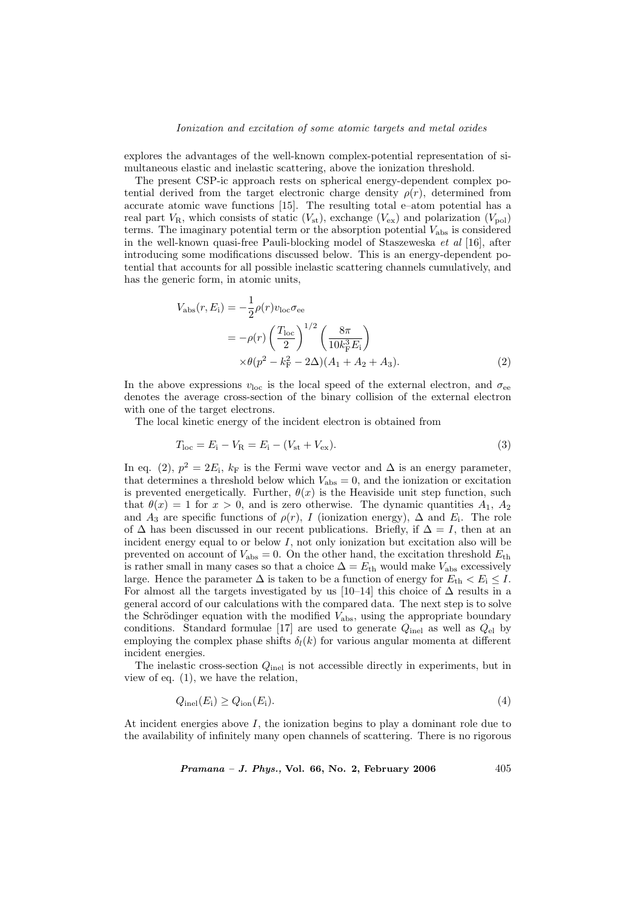#### Ionization and excitation of some atomic targets and metal oxides

explores the advantages of the well-known complex-potential representation of simultaneous elastic and inelastic scattering, above the ionization threshold.

The present CSP-ic approach rests on spherical energy-dependent complex potential derived from the target electronic charge density  $\rho(r)$ , determined from accurate atomic wave functions [15]. The resulting total e–atom potential has a real part  $V_{\rm R}$ , which consists of static  $(V_{\rm st})$ , exchange  $(V_{\rm ex})$  and polarization  $(V_{\rm pol})$ terms. The imaginary potential term or the absorption potential  $V_{\text{abs}}$  is considered in the well-known quasi-free Pauli-blocking model of Staszeweska et al [16], after introducing some modifications discussed below. This is an energy-dependent potential that accounts for all possible inelastic scattering channels cumulatively, and has the generic form, in atomic units,

$$
V_{\rm abs}(r, E_{\rm i}) = -\frac{1}{2}\rho(r)v_{\rm loc}\sigma_{\rm ee}
$$
  
=  $-\rho(r)\left(\frac{T_{\rm loc}}{2}\right)^{1/2}\left(\frac{8\pi}{10k_{\rm F}^3E_{\rm i}}\right)$   
 $\times\theta(p^2 - k_{\rm F}^2 - 2\Delta)(A_1 + A_2 + A_3).$  (2)

In the above expressions  $v_{\text{loc}}$  is the local speed of the external electron, and  $\sigma_{\text{ee}}$ denotes the average cross-section of the binary collision of the external electron with one of the target electrons.

The local kinetic energy of the incident electron is obtained from

$$
T_{\rm loc} = E_{\rm i} - V_{\rm R} = E_{\rm i} - (V_{\rm st} + V_{\rm ex}).\tag{3}
$$

In eq. (2),  $p^2 = 2E_i$ ,  $k_F$  is the Fermi wave vector and  $\Delta$  is an energy parameter, that determines a threshold below which  $V_{\text{abs}} = 0$ , and the ionization or excitation is prevented energetically. Further,  $\theta(x)$  is the Heaviside unit step function, such that  $\theta(x) = 1$  for  $x > 0$ , and is zero otherwise. The dynamic quantities  $A_1, A_2$ and  $A_3$  are specific functions of  $\rho(r)$ , I (ionization energy),  $\Delta$  and  $E_i$ . The role of  $\Delta$  has been discussed in our recent publications. Briefly, if  $\Delta = I$ , then at an incident energy equal to or below  $I$ , not only ionization but excitation also will be prevented on account of  $V_{\text{abs}} = 0$ . On the other hand, the excitation threshold  $E_{\text{th}}$ is rather small in many cases so that a choice  $\Delta = E_{\text{th}}$  would make  $V_{\text{abs}}$  excessively large. Hence the parameter  $\Delta$  is taken to be a function of energy for  $E_{th} < E_i \leq I$ . For almost all the targets investigated by us [10–14] this choice of  $\Delta$  results in a general accord of our calculations with the compared data. The next step is to solve the Schrödinger equation with the modified  $V_{\text{abs}}$ , using the appropriate boundary conditions. Standard formulae [17] are used to generate  $Q_{\text{inel}}$  as well as  $Q_{\text{el}}$  by employing the complex phase shifts  $\delta_l(k)$  for various angular momenta at different incident energies.

The inelastic cross-section  $Q_{\text{inel}}$  is not accessible directly in experiments, but in view of eq. (1), we have the relation,

$$
Q_{\rm inel}(E_{\rm i}) \ge Q_{\rm ion}(E_{\rm i}).\tag{4}
$$

At incident energies above I, the ionization begins to play a dominant role due to the availability of infinitely many open channels of scattering. There is no rigorous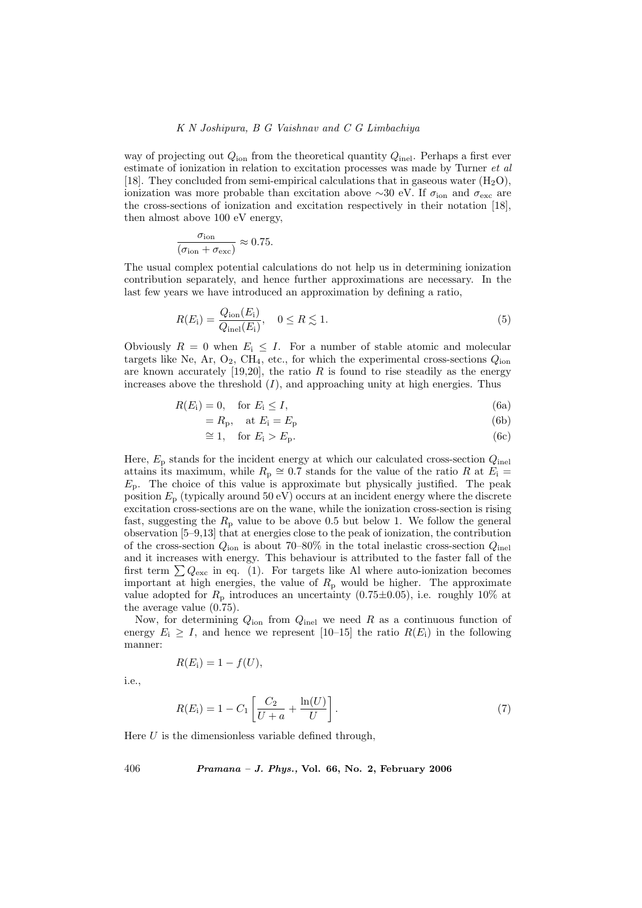way of projecting out  $Q_{\text{ion}}$  from the theoretical quantity  $Q_{\text{inel}}$ . Perhaps a first ever estimate of ionization in relation to excitation processes was made by Turner *et al* [18]. They concluded from semi-empirical calculations that in gaseous water  $(H_2O)$ , ionization was more probable than excitation above ∼30 eV. If  $\sigma_{\text{ion}}$  and  $\sigma_{\text{exc}}$  are the cross-sections of ionization and excitation respectively in their notation [18], then almost above 100 eV energy,

$$
\frac{\sigma_{\text{ion}}}{(\sigma_{\text{ion}} + \sigma_{\text{exc}})} \approx 0.75.
$$

The usual complex potential calculations do not help us in determining ionization contribution separately, and hence further approximations are necessary. In the last few years we have introduced an approximation by defining a ratio,

$$
R(E_i) = \frac{Q_{\text{ion}}(E_i)}{Q_{\text{inel}}(E_i)}, \quad 0 \le R \lesssim 1.
$$
\n
$$
(5)
$$

Obviously  $R = 0$  when  $E_i \leq I$ . For a number of stable atomic and molecular targets like Ne, Ar,  $O_2$ , CH<sub>4</sub>, etc., for which the experimental cross-sections  $Q_{\text{ion}}$ are known accurately  $[19,20]$ , the ratio R is found to rise steadily as the energy increases above the threshold  $(I)$ , and approaching unity at high energies. Thus

$$
R(E_i) = 0, \quad \text{for } E_i \le I,\tag{6a}
$$

$$
=R_{\rm p}, \quad \text{at } E_{\rm i}=E_{\rm p} \tag{6b}
$$

$$
\cong 1, \quad \text{for } E_i > E_p. \tag{6c}
$$

Here,  $E<sub>p</sub>$  stands for the incident energy at which our calculated cross-section  $Q<sub>inel</sub>$ attains its maximum, while  $R_p \cong 0.7$  stands for the value of the ratio R at  $E_i =$  $E_p$ . The choice of this value is approximate but physically justified. The peak position  $E_p$  (typically around 50 eV) occurs at an incident energy where the discrete excitation cross-sections are on the wane, while the ionization cross-section is rising fast, suggesting the  $R_p$  value to be above 0.5 but below 1. We follow the general observation [5–9,13] that at energies close to the peak of ionization, the contribution of the cross-section  $Q_{\text{ion}}$  is about 70–80% in the total inelastic cross-section  $Q_{\text{inel}}$ and it increases with energy. This behaviour is attributed to the faster fall of the first term  $\sum Q_{\text{exc}}$  in eq. (1). For targets like Al where auto-ionization becomes important at high energies, the value of  $R_p$  would be higher. The approximate value adopted for  $R_p$  introduces an uncertainty (0.75 $\pm$ 0.05), i.e. roughly 10% at the average value (0.75).

Now, for determining  $Q_{\text{ion}}$  from  $Q_{\text{inel}}$  we need R as a continuous function of energy  $E_i \geq I$ , and hence we represent [10–15] the ratio  $R(E_i)$  in the following manner:

$$
R(E_i) = 1 - f(U),
$$

i.e.,

$$
R(E_i) = 1 - C_1 \left[ \frac{C_2}{U + a} + \frac{\ln(U)}{U} \right].
$$
 (7)

Here  $U$  is the dimensionless variable defined through,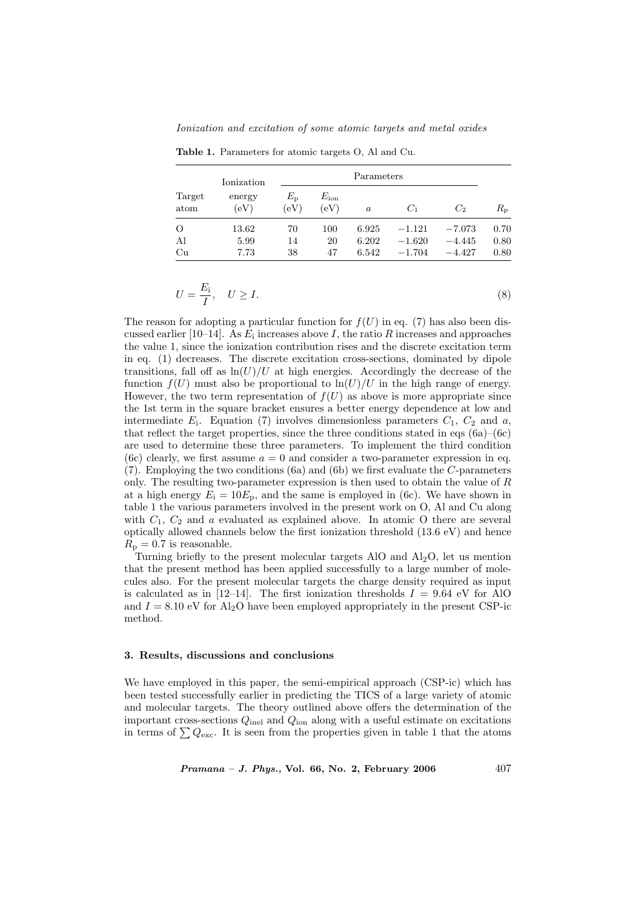Ionization and excitation of some atomic targets and metal oxides

| Target<br>atom | Ionization<br>energy<br>(eV) | Parameters                   |                       |          |          |                |             |
|----------------|------------------------------|------------------------------|-----------------------|----------|----------|----------------|-------------|
|                |                              | $E_{\rm p}$<br>$\rm ^{(eV)}$ | $E_{\rm ion}$<br>(eV) | $\alpha$ | $C_1$    | C <sub>2</sub> | $R_{\rm p}$ |
| $\circ$        | 13.62                        | 70                           | 100                   | 6.925    | $-1.121$ | $-7.073$       | 0.70        |
| Al             | 5.99                         | 14                           | 20                    | 6.202    | $-1.620$ | $-4.445$       | 0.80        |
| Cu             | 7.73                         | 38                           | 47                    | 6.542    | $-1.704$ | $-4.427$       | 0.80        |

Table 1. Parameters for atomic targets O, Al and Cu.

$$
U = \frac{E_{\rm i}}{I}, \quad U \ge I. \tag{8}
$$

The reason for adopting a particular function for  $f(U)$  in eq. (7) has also been discussed earlier [10–14]. As  $E_i$  increases above I, the ratio R increases and approaches the value 1, since the ionization contribution rises and the discrete excitation term in eq. (1) decreases. The discrete excitation cross-sections, dominated by dipole transitions, fall off as  $\ln(U)/U$  at high energies. Accordingly the decrease of the function  $f(U)$  must also be proportional to  $\ln(U)/U$  in the high range of energy. However, the two term representation of  $f(U)$  as above is more appropriate since the 1st term in the square bracket ensures a better energy dependence at low and intermediate  $E_i$ . Equation (7) involves dimensionless parameters  $C_1$ ,  $C_2$  and  $a$ , that reflect the target properties, since the three conditions stated in eqs  $(6a)$ – $(6c)$ are used to determine these three parameters. To implement the third condition (6c) clearly, we first assume  $a = 0$  and consider a two-parameter expression in eq. (7). Employing the two conditions (6a) and (6b) we first evaluate the C-parameters only. The resulting two-parameter expression is then used to obtain the value of R at a high energy  $E_i = 10E_p$ , and the same is employed in (6c). We have shown in table 1 the various parameters involved in the present work on O, Al and Cu along with  $C_1$ ,  $C_2$  and a evaluated as explained above. In atomic O there are several optically allowed channels below the first ionization threshold  $(13.6 \text{ eV})$  and hence  $R_{\rm p} = 0.7$  is reasonable.

Turning briefly to the present molecular targets AlO and  $Al<sub>2</sub>O$ , let us mention that the present method has been applied successfully to a large number of molecules also. For the present molecular targets the charge density required as input is calculated as in [12–14]. The first ionization thresholds  $I = 9.64$  eV for AlO and  $I = 8.10$  eV for Al<sub>2</sub>O have been employed appropriately in the present CSP-ic method.

## 3. Results, discussions and conclusions

We have employed in this paper, the semi-empirical approach (CSP-ic) which has been tested successfully earlier in predicting the TICS of a large variety of atomic and molecular targets. The theory outlined above offers the determination of the important cross-sections  $Q_{\text{inel}}$  and  $Q_{\text{ion}}$  along with a useful estimate on excitations in terms of  $\sum Q_{\text{exc}}$ . It is seen from the properties given in table 1 that the atoms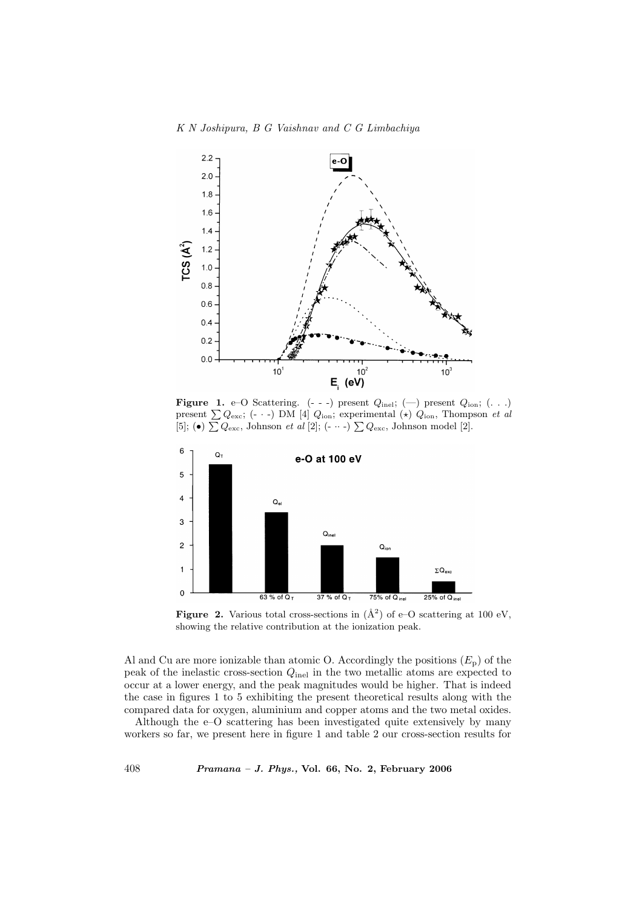K N Joshipura, B G Vaishnav and C G Limbachiya



**Figure 1.** e–O Scattering. (- - -) present  $Q_{\text{inel}}$ ; (--) present  $Q_{\text{ion}}$ ; (...) present  $\sum Q_{\text{exc}}$ ; (- · -) DM [4]  $Q_{\text{ion}}$ ; experimental (\*)  $Q_{\text{ion}}$ , Thompson *et al* present  $\sum Q_{\text{exc}}$ ; (- · -) DM [4]  $Q_{\text{ion}}$ ; experimental ( $\times$ )  $Q_{\text{ion}}$ , Thomp<br>[5]; (•)  $\sum Q_{\text{exc}}$ , Johnson *et al* [2]; (- ·· -)  $\sum Q_{\text{exc}}$ , Johnson model [2].



**Figure 2.** Various total cross-sections in  $(\AA^2)$  of e-O scattering at 100 eV, showing the relative contribution at the ionization peak.

Al and Cu are more ionizable than atomic O. Accordingly the positions  $(E_{\rm p})$  of the peak of the inelastic cross-section  $Q_{\text{inel}}$  in the two metallic atoms are expected to occur at a lower energy, and the peak magnitudes would be higher. That is indeed the case in figures 1 to 5 exhibiting the present theoretical results along with the compared data for oxygen, aluminium and copper atoms and the two metal oxides.

Although the e–O scattering has been investigated quite extensively by many workers so far, we present here in figure 1 and table 2 our cross-section results for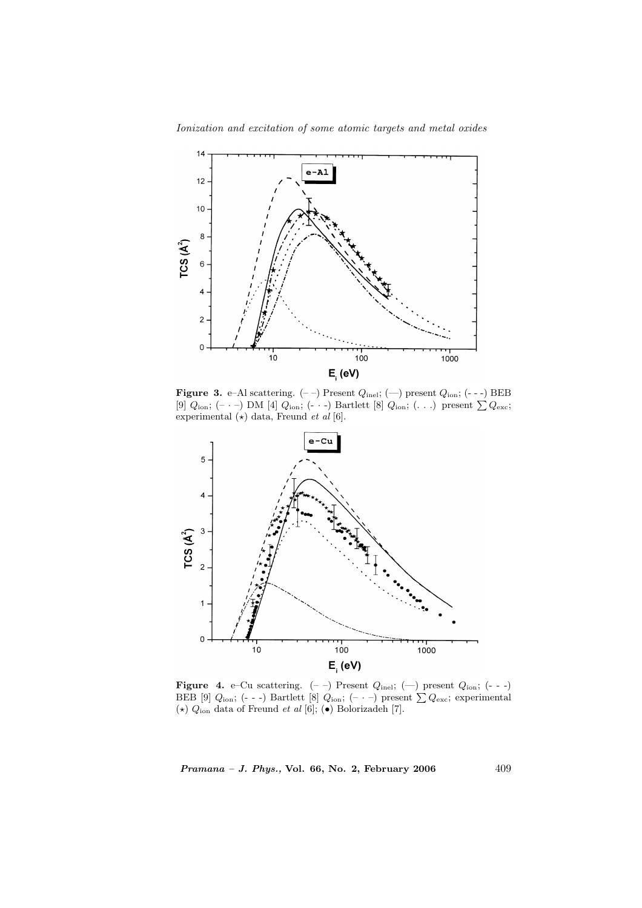

**Figure 3.** e–Al scattering.  $(-)$  Present  $Q_{\text{inel}}$ ;  $(-)$  present  $Q_{\text{ion}}$ ;  $(-)$  BEB [9]  $Q_{\text{ion}}$ ;  $(-)$  DM [4]  $Q_{\text{ion}}$ ;  $(-)$  Bartlett [8]  $Q_{\text{ion}}$ ;  $(\ldots)$  present  $\sum Q_{\text{exc}}$ ; experimental  $(\star)$  data, Freund et al [6].



**Figure 4.** e–Cu scattering.  $(-)$  Present  $Q_{\text{inel}}$ ;  $(-)$  present  $Q_{\text{ion}}$ ;  $(-)$  BEB [9]  $Q_{\text{ion}}$ ;  $(-)$  Bartlett [8]  $Q_{\text{ion}}$ ;  $(-)$  present  $\sum Q_{\text{exc}}$ ; experimental  $(\star)$   $Q_{\rm ion}$  data of Freund  $et$   $al$  [6];  $(\bullet)$  Bolorizadeh [7].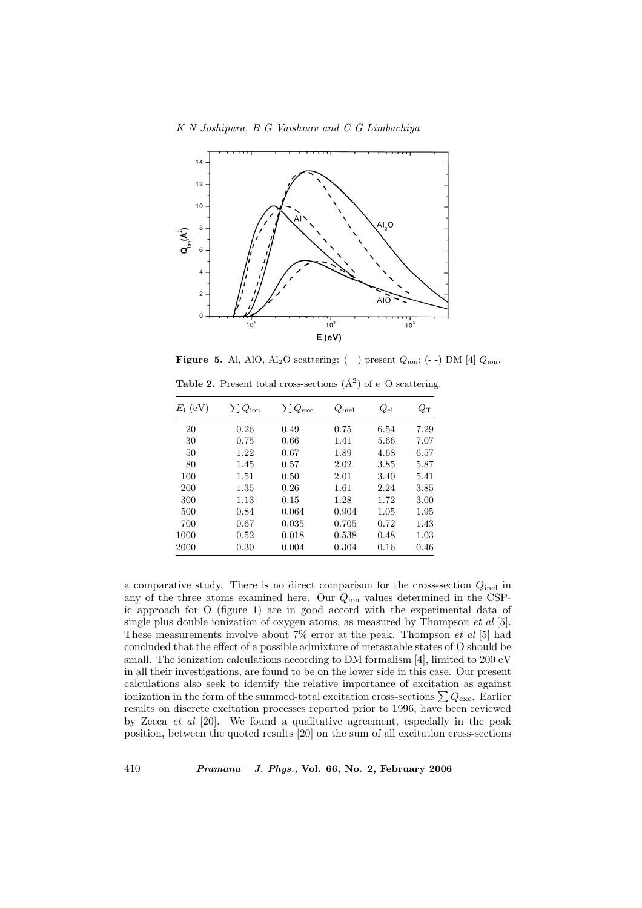

**Figure 5.** Al, AlO, Al<sub>2</sub>O scattering: (-) present  $Q_{\text{ion}}$ ; (--) DM [4]  $Q_{\text{ion}}$ . **Table 2.** Present total cross-sections  $(\hat{A}^2)$  of e-O scattering.

| $E_i$ (eV) | $\sum Q_{\rm ion}$ | $\sum Q_{\rm exc}$ | $Q_{\rm inel}$ | $Q_{\rm el}$ | $Q_{\rm T}$ |
|------------|--------------------|--------------------|----------------|--------------|-------------|
|            |                    |                    |                |              |             |
| 20         | 0.26               | 0.49               | 0.75           | 6.54         | 7.29        |
| 30         | 0.75               | 0.66               | 1.41           | 5.66         | 7.07        |
| 50         | 1.22               | 0.67               | 1.89           | 4.68         | 6.57        |
| 80         | 1.45               | 0.57               | 2.02           | 3.85         | 5.87        |
| 100        | 1.51               | 0.50               | 2.01           | 3.40         | 5.41        |
| 200        | 1.35               | 0.26               | 1.61           | 2.24         | 3.85        |
| 300        | 1.13               | 0.15               | 1.28           | 1.72         | 3.00        |
| 500        | 0.84               | 0.064              | 0.904          | 1.05         | 1.95        |
| 700        | 0.67               | 0.035              | 0.705          | 0.72         | 1.43        |
| 1000       | 0.52               | 0.018              | 0.538          | 0.48         | 1.03        |
| 2000       | 0.30               | 0.004              | 0.304          | 0.16         | 0.46        |

a comparative study. There is no direct comparison for the cross-section  $Q_{\text{inel}}$  in any of the three atoms examined here. Our  $Q_{\text{ion}}$  values determined in the CSPic approach for O (figure 1) are in good accord with the experimental data of single plus double ionization of oxygen atoms, as measured by Thompson  $et$  al [5]. These measurements involve about  $7\%$  error at the peak. Thompson *et al* [5] had concluded that the effect of a possible admixture of metastable states of O should be small. The ionization calculations according to DM formalism [4], limited to 200 eV in all their investigations, are found to be on the lower side in this case. Our present calculations also seek to identify the relative importance of excitation as against ionization in the form of the summed-total excitation cross-sections  $\sum Q_{\text{exc}}$ . Earlier results on discrete excitation processes reported prior to 1996, have been reviewed by Zecca et al [20]. We found a qualitative agreement, especially in the peak position, between the quoted results [20] on the sum of all excitation cross-sections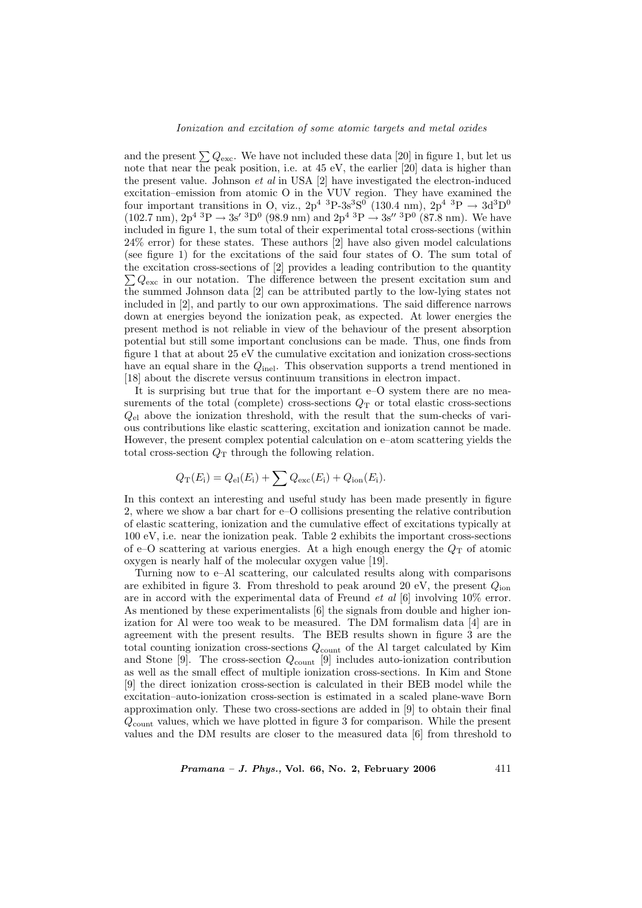and the present  $\sum Q_{\text{exc}}$ . We have not included these data [20] in figure 1, but let us note that near the peak position, i.e. at 45 eV, the earlier [20] data is higher than the present value. Johnson  $et$  al in USA [2] have investigated the electron-induced excitation–emission from atomic O in the VUV region. They have examined the four important transitions in O, viz.,  $2p^4$  <sup>3</sup>P-3s<sup>3</sup>S<sup>0</sup> (130.4 nm),  $2p^4$  <sup>3</sup>P  $\rightarrow$  3d<sup>3</sup>D<sup>0</sup>  $(102.7 \text{ nm}), \, 2p^4 \, \text{~}^3\text{P} \rightarrow 3s' \, \text{~}^3\text{D}^0 \, (98.9 \text{ nm}) \text{ and } 2p^4 \, \text{~}^3\text{P} \rightarrow 3s'' \, \text{~}^3\text{P}^0 \, (87.8 \text{ nm}).$  We have included in figure 1, the sum total of their experimental total cross-sections (within 24% error) for these states. These authors [2] have also given model calculations (see figure 1) for the excitations of the said four states of O. The sum total of the excitation cross-sections of [2] provides a leading contribution to the quantity  $\sum Q_{\text{exc}}$  in our notation. The difference between the present excitation sum and the summed Johnson data [2] can be attributed partly to the low-lying states not included in [2], and partly to our own approximations. The said difference narrows down at energies beyond the ionization peak, as expected. At lower energies the present method is not reliable in view of the behaviour of the present absorption potential but still some important conclusions can be made. Thus, one finds from figure 1 that at about 25 eV the cumulative excitation and ionization cross-sections have an equal share in the  $Q_{\text{inel}}$ . This observation supports a trend mentioned in [18] about the discrete versus continuum transitions in electron impact.

It is surprising but true that for the important e–O system there are no measurements of the total (complete) cross-sections  $Q_T$  or total elastic cross-sections  $Q_{el}$  above the ionization threshold, with the result that the sum-checks of various contributions like elastic scattering, excitation and ionization cannot be made. However, the present complex potential calculation on e–atom scattering yields the total cross-section  $Q_T$  through the following relation.

$$
Q_{\rm T}(E_{\rm i}) = Q_{\rm el}(E_{\rm i}) + \sum Q_{\rm exc}(E_{\rm i}) + Q_{\rm ion}(E_{\rm i}).
$$

In this context an interesting and useful study has been made presently in figure 2, where we show a bar chart for e–O collisions presenting the relative contribution of elastic scattering, ionization and the cumulative effect of excitations typically at 100 eV, i.e. near the ionization peak. Table 2 exhibits the important cross-sections of e–O scattering at various energies. At a high enough energy the  $Q_T$  of atomic oxygen is nearly half of the molecular oxygen value [19].

Turning now to e–Al scattering, our calculated results along with comparisons are exhibited in figure 3. From threshold to peak around 20 eV, the present  $Q_{\text{ion}}$ are in accord with the experimental data of Freund *et al* [6] involving 10% error. As mentioned by these experimentalists [6] the signals from double and higher ionization for Al were too weak to be measured. The DM formalism data [4] are in agreement with the present results. The BEB results shown in figure 3 are the total counting ionization cross-sections  $Q_{\text{count}}$  of the Al target calculated by Kim and Stone [9]. The cross-section  $Q_{\text{count}}$  [9] includes auto-ionization contribution as well as the small effect of multiple ionization cross-sections. In Kim and Stone [9] the direct ionization cross-section is calculated in their BEB model while the excitation–auto-ionization cross-section is estimated in a scaled plane-wave Born approximation only. These two cross-sections are added in [9] to obtain their final  $Q_{\text{count}}$  values, which we have plotted in figure 3 for comparison. While the present values and the DM results are closer to the measured data [6] from threshold to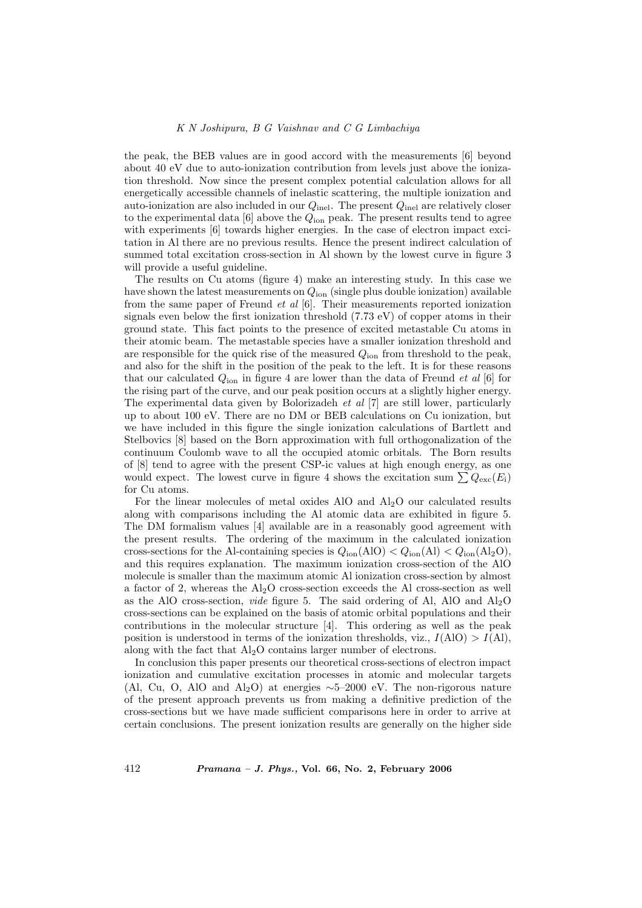the peak, the BEB values are in good accord with the measurements [6] beyond about 40 eV due to auto-ionization contribution from levels just above the ionization threshold. Now since the present complex potential calculation allows for all energetically accessible channels of inelastic scattering, the multiple ionization and auto-ionization are also included in our  $Q_{\text{inel}}$ . The present  $Q_{\text{inel}}$  are relatively closer to the experimental data  $[6]$  above the  $Q_{\text{ion}}$  peak. The present results tend to agree with experiments [6] towards higher energies. In the case of electron impact excitation in Al there are no previous results. Hence the present indirect calculation of summed total excitation cross-section in Al shown by the lowest curve in figure 3 will provide a useful guideline.

The results on Cu atoms (figure 4) make an interesting study. In this case we have shown the latest measurements on  $Q_{\text{ion}}$  (single plus double ionization) available from the same paper of Freund et al [6]. Their measurements reported ionization signals even below the first ionization threshold (7.73 eV) of copper atoms in their ground state. This fact points to the presence of excited metastable Cu atoms in their atomic beam. The metastable species have a smaller ionization threshold and are responsible for the quick rise of the measured  $Q_{\text{ion}}$  from threshold to the peak, and also for the shift in the position of the peak to the left. It is for these reasons that our calculated  $Q_{\text{ion}}$  in figure 4 are lower than the data of Freund *et al* [6] for the rising part of the curve, and our peak position occurs at a slightly higher energy. The experimental data given by Bolorizadeh et al [7] are still lower, particularly up to about 100 eV. There are no DM or BEB calculations on Cu ionization, but we have included in this figure the single ionization calculations of Bartlett and Stelbovics [8] based on the Born approximation with full orthogonalization of the continuum Coulomb wave to all the occupied atomic orbitals. The Born results of [8] tend to agree with the present CSP-ic values at high enough energy, as one would expect. The lowest curve in figure 4 shows the excitation sum  $\sum Q_{\text{exc}}(E_i)$ for Cu atoms.

For the linear molecules of metal oxides AlO and  $Al<sub>2</sub>O$  our calculated results along with comparisons including the Al atomic data are exhibited in figure 5. The DM formalism values [4] available are in a reasonably good agreement with the present results. The ordering of the maximum in the calculated ionization cross-sections for the Al-containing species is  $Q_{\text{ion}}(\text{AlO}) < Q_{\text{ion}}(\text{Al}) < Q_{\text{ion}}(\text{Al}_2\text{O})$ , and this requires explanation. The maximum ionization cross-section of the AlO molecule is smaller than the maximum atomic Al ionization cross-section by almost a factor of 2, whereas the  $\text{Al}_2\text{O}$  cross-section exceeds the Al cross-section as well as the AlO cross-section, *vide* figure 5. The said ordering of Al, AlO and  $A_{12}$ O cross-sections can be explained on the basis of atomic orbital populations and their contributions in the molecular structure [4]. This ordering as well as the peak position is understood in terms of the ionization thresholds, viz.,  $I(AIO) > I(AI)$ , along with the fact that  $Al<sub>2</sub>O$  contains larger number of electrons.

In conclusion this paper presents our theoretical cross-sections of electron impact ionization and cumulative excitation processes in atomic and molecular targets (Al, Cu, O, AlO and Al<sub>2</sub>O) at energies  $\sim$ 5–2000 eV. The non-rigorous nature of the present approach prevents us from making a definitive prediction of the cross-sections but we have made sufficient comparisons here in order to arrive at certain conclusions. The present ionization results are generally on the higher side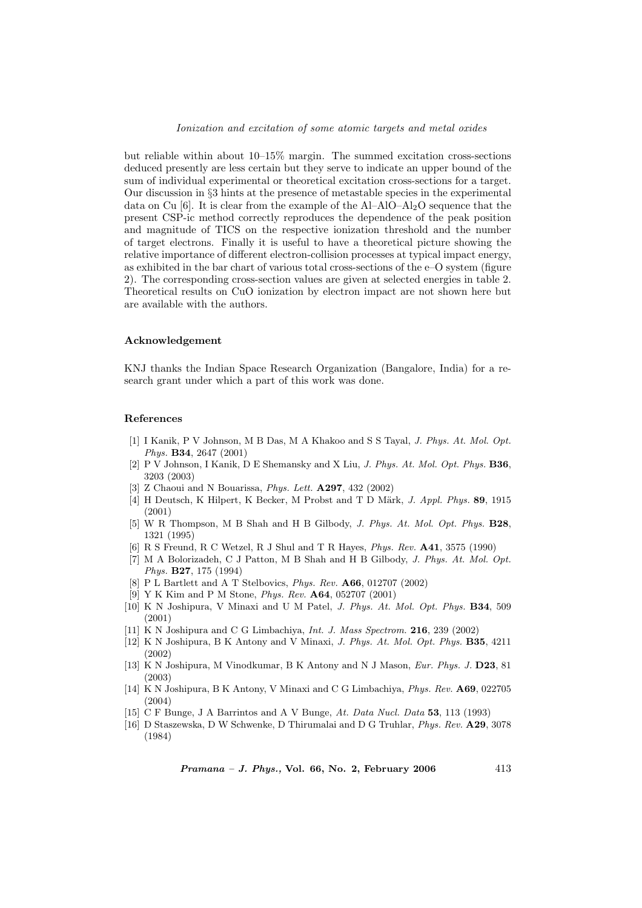but reliable within about 10–15% margin. The summed excitation cross-sections deduced presently are less certain but they serve to indicate an upper bound of the sum of individual experimental or theoretical excitation cross-sections for a target. Our discussion in §3 hints at the presence of metastable species in the experimental data on Cu [6]. It is clear from the example of the  $Al-AIO-AI_2O$  sequence that the present CSP-ic method correctly reproduces the dependence of the peak position and magnitude of TICS on the respective ionization threshold and the number of target electrons. Finally it is useful to have a theoretical picture showing the relative importance of different electron-collision processes at typical impact energy, as exhibited in the bar chart of various total cross-sections of the e–O system (figure 2). The corresponding cross-section values are given at selected energies in table 2. Theoretical results on CuO ionization by electron impact are not shown here but are available with the authors.

#### Acknowledgement

KNJ thanks the Indian Space Research Organization (Bangalore, India) for a research grant under which a part of this work was done.

## References

- [1] I Kanik, P V Johnson, M B Das, M A Khakoo and S S Tayal, J. Phys. At. Mol. Opt. Phys. B34, 2647 (2001)
- [2] P V Johnson, I Kanik, D E Shemansky and X Liu, J. Phys. At. Mol. Opt. Phys. B36, 3203 (2003)
- [3] Z Chaoui and N Bouarissa, *Phys. Lett.* **A297**, 432 (2002)
- [4] H Deutsch, K Hilpert, K Becker, M Probst and T D Märk, J. Appl. Phys. 89, 1915 (2001)
- [5] W R Thompson, M B Shah and H B Gilbody, J. Phys. At. Mol. Opt. Phys. B28, 1321 (1995)
- [6] R S Freund, R C Wetzel, R J Shul and T R Hayes, Phys. Rev. A41, 3575 (1990)
- [7] M A Bolorizadeh, C J Patton, M B Shah and H B Gilbody, J. Phys. At. Mol. Opt. Phys. B27, 175 (1994)
- [8] P L Bartlett and A T Stelbovics, Phys. Rev. A66, 012707 (2002)
- [9] Y K Kim and P M Stone, Phys. Rev. A64, 052707 (2001)
- [10] K N Joshipura, V Minaxi and U M Patel, J. Phys. At. Mol. Opt. Phys. B34, 509 (2001)
- [11] K N Joshipura and C G Limbachiya, *Int. J. Mass Spectrom.* **216**, 239 (2002)
- [12] K N Joshipura, B K Antony and V Minaxi, J. Phys. At. Mol. Opt. Phys. B35, 4211 (2002)
- [13] K N Joshipura, M Vinodkumar, B K Antony and N J Mason, Eur. Phys. J. D23, 81 (2003)
- [14] K N Joshipura, B K Antony, V Minaxi and C G Limbachiya, Phys. Rev. A69, 022705 (2004)
- [15] C F Bunge, J A Barrintos and A V Bunge, At. Data Nucl. Data 53, 113 (1993)
- [16] D Staszewska, D W Schwenke, D Thirumalai and D G Truhlar, Phys. Rev. A29, 3078 (1984)